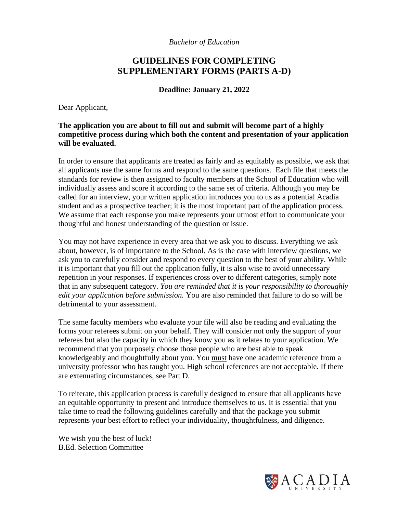*Bachelor of Education*

# **GUIDELINES FOR COMPLETING SUPPLEMENTARY FORMS (PARTS A-D)**

**Deadline: January 21, 2022**

Dear Applicant,

**The application you are about to fill out and submit will become part of a highly competitive process during which both the content and presentation of your application will be evaluated.**

In order to ensure that applicants are treated as fairly and as equitably as possible, we ask that all applicants use the same forms and respond to the same questions. Each file that meets the standards for review is then assigned to faculty members at the School of Education who will individually assess and score it according to the same set of criteria. Although you may be called for an interview, your written application introduces you to us as a potential Acadia student and as a prospective teacher; it is the most important part of the application process. We assume that each response you make represents your utmost effort to communicate your thoughtful and honest understanding of the question or issue.

You may not have experience in every area that we ask you to discuss. Everything we ask about, however, is of importance to the School. As is the case with interview questions, we ask you to carefully consider and respond to every question to the best of your ability. While it is important that you fill out the application fully, it is also wise to avoid unnecessary repetition in your responses. If experiences cross over to different categories, simply note that in any subsequent category. *You are reminded that it is your responsibility to thoroughly edit your application before submission.* You are also reminded that failure to do so will be detrimental to your assessment.

The same faculty members who evaluate your file will also be reading and evaluating the forms your referees submit on your behalf. They will consider not only the support of your referees but also the capacity in which they know you as it relates to your application. We recommend that you purposely choose those people who are best able to speak knowledgeably and thoughtfully about you. You must have one academic reference from a university professor who has taught you. High school references are not acceptable. If there are extenuating circumstances, see Part D.

To reiterate, this application process is carefully designed to ensure that all applicants have an equitable opportunity to present and introduce themselves to us. It is essential that you take time to read the following guidelines carefully and that the package you submit represents your best effort to reflect your individuality, thoughtfulness, and diligence.

We wish you the best of luck! B.Ed. Selection Committee

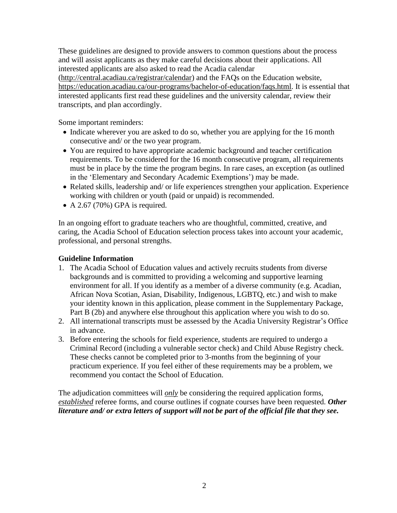These guidelines are designed to provide answers to common questions about the process and will assist applicants as they make careful decisions about their applications. All interested applicants are also asked to read the Acadia calendar (http://central.acadiau.ca/registrar/calendar) and the FAQs on the Education website, https://education.acadiau.ca/our-programs/bachelor-of-education/faqs.html. It is essential that interested applicants first read these guidelines and the university calendar, review their transcripts, and plan accordingly.

Some important reminders:

- Indicate wherever you are asked to do so, whether you are applying for the 16 month consecutive and/ or the two year program.
- You are required to have appropriate academic background and teacher certification requirements. To be considered for the 16 month consecutive program, all requirements must be in place by the time the program begins. In rare cases, an exception (as outlined in the 'Elementary and Secondary Academic Exemptions') may be made.
- Related skills, leadership and/ or life experiences strengthen your application. Experience working with children or youth (paid or unpaid) is recommended.
- A 2.67 (70%) GPA is required.

In an ongoing effort to graduate teachers who are thoughtful, committed, creative, and caring, the Acadia School of Education selection process takes into account your academic, professional, and personal strengths.

# **Guideline Information**

- 1. The Acadia School of Education values and actively recruits students from diverse backgrounds and is committed to providing a welcoming and supportive learning environment for all. If you identify as a member of a diverse community (e.g. Acadian, African Nova Scotian, Asian, Disability, Indigenous, LGBTQ, etc.) and wish to make your identity known in this application, please comment in the Supplementary Package, Part B (2b) and anywhere else throughout this application where you wish to do so.
- 2. All international transcripts must be assessed by the Acadia University Registrar's Office in advance.
- 3. Before entering the schools for field experience, students are required to undergo a Criminal Record (including a vulnerable sector check) and Child Abuse Registry check. These checks cannot be completed prior to 3-months from the beginning of your practicum experience. If you feel either of these requirements may be a problem, we recommend you contact the School of Education.

The adjudication committees will *only* be considering the required application forms, *established* referee forms, and course outlines if cognate courses have been requested. *Other literature and/ or extra letters of support will not be part of the official file that they see.*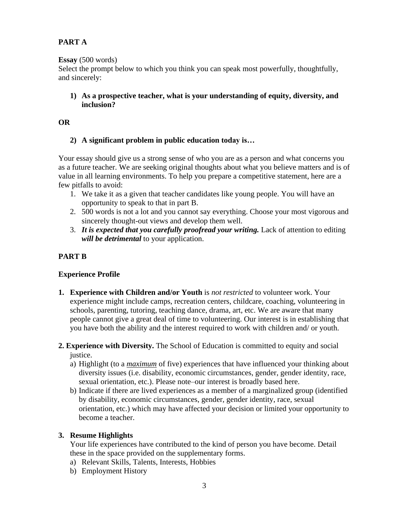# **PART A**

## **Essay** (500 words)

Select the prompt below to which you think you can speak most powerfully, thoughtfully, and sincerely:

# **1) As a prospective teacher, what is your understanding of equity, diversity, and inclusion?**

### **OR**

# **2) A significant problem in public education today is…**

Your essay should give us a strong sense of who you are as a person and what concerns you as a future teacher. We are seeking original thoughts about what you believe matters and is of value in all learning environments. To help you prepare a competitive statement, here are a few pitfalls to avoid:

- 1. We take it as a given that teacher candidates like young people. You will have an opportunity to speak to that in part B.
- 2. 500 words is not a lot and you cannot say everything. Choose your most vigorous and sincerely thought-out views and develop them well.
- 3. *It is expected that you carefully proofread your writing.* Lack of attention to editing *will be detrimental* to your application.

# **PART B**

# **Experience Profile**

- **1. Experience with Children and/or Youth** is *not restricted* to volunteer work. Your experience might include camps, recreation centers, childcare, coaching, volunteering in schools, parenting, tutoring, teaching dance, drama, art, etc. We are aware that many people cannot give a great deal of time to volunteering. Our interest is in establishing that you have both the ability and the interest required to work with children and/ or youth.
- **2. Experience with Diversity.** The School of Education is committed to equity and social justice.
	- a) Highlight (to a *maximum* of five) experiences that have influenced your thinking about diversity issues (i.e. disability, economic circumstances, gender, gender identity, race, sexual orientation, etc.). Please note–our interest is broadly based here.
	- b) Indicate if there are lived experiences as a member of a marginalized group (identified by disability, economic circumstances, gender, gender identity, race, sexual orientation, etc.) which may have affected your decision or limited your opportunity to become a teacher.

# **3. Resume Highlights**

Your life experiences have contributed to the kind of person you have become. Detail these in the space provided on the supplementary forms.

- a) Relevant Skills, Talents, Interests, Hobbies
- b) Employment History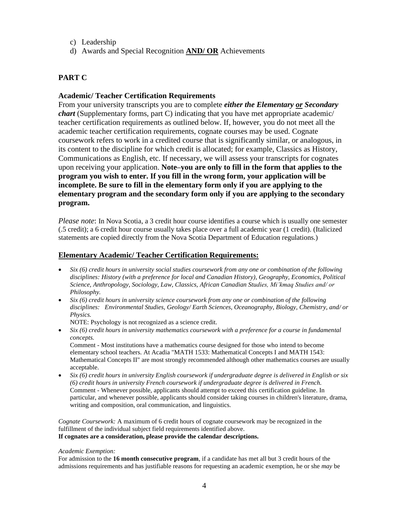- c) Leadership
- d) Awards and Special Recognition **AND/ OR** Achievements

# **PART C**

### **Academic/ Teacher Certification Requirements**

From your university transcripts you are to complete *either the Elementary or Secondary chart* (Supplementary forms, part C) indicating that you have met appropriate academic/ teacher certification requirements as outlined below. If, however, you do not meet all the academic teacher certification requirements, cognate courses may be used. Cognate coursework refers to work in a credited course that is significantly similar, or analogous, in its content to the discipline for which credit is allocated; for example, Classics as History, Communications as English, etc. If necessary, we will assess your transcripts for cognates upon receiving your application. **Note–you are only to fill in the form that applies to the program you wish to enter. If you fill in the wrong form, your application will be incomplete. Be sure to fill in the elementary form only if you are applying to the elementary program and the secondary form only if you are applying to the secondary program.**

*Please note*: In Nova Scotia, a 3 credit hour course identifies a course which is usually one semester (.5 credit); a 6 credit hour course usually takes place over a full academic year (1 credit). (Italicized statements are copied directly from the Nova Scotia Department of Education regulations.)

### **Elementary Academic/ Teacher Certification Requirements:**

- *Six (6) credit hours in university social studies coursework from any one or combination of the following disciplines: History (with a preference for local and Canadian History), Geography, Economics, Political Science, Anthropology, Sociology, Law, Classics, African Canadian Studies, Mi'kmaq Studies and/ or Philosophy.*
- *Six (6) credit hours in university science coursework from any one or combination of the following disciplines: Environmental Studies, Geology/ Earth Sciences, Oceanography, Biology, Chemistry, and/ or Physics.*
	- NOTE: Psychology is not recognized as a science credit.
- *Six (6) credit hours in university mathematics coursework with a preference for a course in fundamental concepts.*

Comment - Most institutions have a mathematics course designed for those who intend to become elementary school teachers. At Acadia "MATH 1533: Mathematical Concepts I and MATH 1543: Mathematical Concepts II" are most strongly recommended although other mathematics courses are usually acceptable.

• *Six (6) credit hours in university English coursework if undergraduate degree is delivered in English or six (6) credit hours in university French coursework if undergraduate degree is delivered in French.* Comment - Whenever possible, applicants should attempt to exceed this certification guideline. In particular, and whenever possible, applicants should consider taking courses in children's literature, drama, writing and composition, oral communication, and linguistics.

*Cognate Coursework:* A maximum of 6 credit hours of cognate coursework may be recognized in the fulfillment of the individual subject field requirements identified above.

#### **If cognates are a consideration, please provide the calendar descriptions.**

#### *Academic Exemption:*

For admission to the **16 month consecutive program**, if a candidate has met all but 3 credit hours of the admissions requirements and has justifiable reasons for requesting an academic exemption, he or she *may* be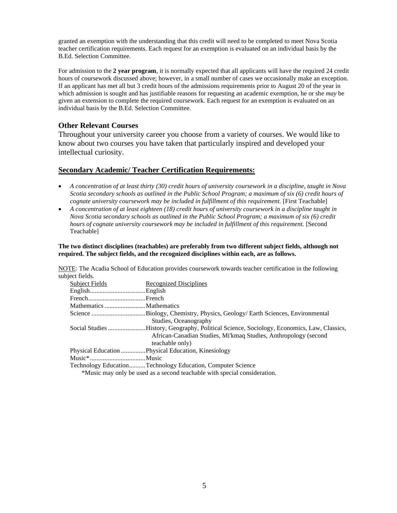granted an exemption with the understanding that this credit will need to be completed to meet Nova Scotia teacher certification requirements. Each request for an exemption is evaluated on an individual basis by the B.Ed. Selection Committee.

For admission to the **2 year program**, it is normally expected that all applicants will have the required 24 credit hours of coursework discussed above; however, in a small number of cases we occasionally make an exception. If an applicant has met all but 3 credit hours of the admissions requirements prior to August 20 of the year in which admission is sought and has justifiable reasons for requesting an academic exemption, he or she *may* be given an extension to complete the required coursework. Each request for an exemption is evaluated on an individual basis by the B.Ed. Selection Committee.

### **Other Relevant Courses**

Throughout your university career you choose from a variety of courses. We would like to know about two courses you have taken that particularly inspired and developed your intellectual curiosity.

### **Secondary Academic/ Teacher Certification Requirements:**

- *A concentration of at least thirty (30) credit hours of university coursework in a discipline, taught in Nova Scotia secondary schools as outlined in the Public School Program; a maximum of six (6) credit hours of cognate university coursework may be included in fulfillment of this requirement.* [First Teachable]
- *A concentration of at least eighteen (18) credit hours of university coursework in a discipline taught in Nova Scotia secondary schools as outlined in the Public School Program; a maximum of six (6) credit hours of cognate university coursework may be included in fulfillment of this requirement.* [Second Teachable]

#### **The two distinct disciplines (teachables) are preferably from two different subject fields, although not required. The subject fields, and the recognized disciplines within each, are as follows.**

NOTE: The Acadia School of Education provides coursework towards teacher certification in the following subject fields.

| <b>Subject Fields</b> | Recognized Disciplines                                                                     |
|-----------------------|--------------------------------------------------------------------------------------------|
|                       |                                                                                            |
|                       |                                                                                            |
|                       |                                                                                            |
|                       | Science Biology, Chemistry, Physics, Geology/Earth Sciences, Environmental                 |
|                       | Studies, Oceanography                                                                      |
|                       | Social Studies History, Geography, Political Science, Sociology, Economics, Law, Classics, |
|                       | African-Canadian Studies, Mi'kmaq Studies, Anthropology (second                            |
|                       | teachable only)                                                                            |
|                       | Physical Education Physical Education, Kinesiology                                         |
| Music*Music           |                                                                                            |
|                       | Technology EducationTechnology Education, Computer Science                                 |
|                       | *Music may only be used as a second teachable with special consideration.                  |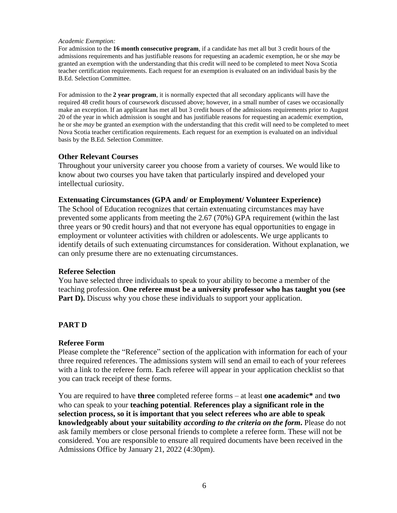#### *Academic Exemption:*

For admission to the **16 month consecutive program**, if a candidate has met all but 3 credit hours of the admissions requirements and has justifiable reasons for requesting an academic exemption, he or she *may* be granted an exemption with the understanding that this credit will need to be completed to meet Nova Scotia teacher certification requirements. Each request for an exemption is evaluated on an individual basis by the B.Ed. Selection Committee.

For admission to the **2 year program**, it is normally expected that all secondary applicants will have the required 48 credit hours of coursework discussed above; however, in a small number of cases we occasionally make an exception. If an applicant has met all but 3 credit hours of the admissions requirements prior to August 20 of the year in which admission is sought and has justifiable reasons for requesting an academic exemption, he or she *may* be granted an exemption with the understanding that this credit will need to be completed to meet Nova Scotia teacher certification requirements. Each request for an exemption is evaluated on an individual basis by the B.Ed. Selection Committee.

### **Other Relevant Courses**

Throughout your university career you choose from a variety of courses. We would like to know about two courses you have taken that particularly inspired and developed your intellectual curiosity.

### **Extenuating Circumstances (GPA and/ or Employment/ Volunteer Experience)**

The School of Education recognizes that certain extenuating circumstances may have prevented some applicants from meeting the 2.67 (70%) GPA requirement (within the last three years or 90 credit hours) and that not everyone has equal opportunities to engage in employment or volunteer activities with children or adolescents. We urge applicants to identify details of such extenuating circumstances for consideration. Without explanation, we can only presume there are no extenuating circumstances.

### **Referee Selection**

You have selected three individuals to speak to your ability to become a member of the teaching profession. **One referee must be a university professor who has taught you (see Part D).** Discuss why you chose these individuals to support your application.

# **PART D**

### **Referee Form**

Please complete the "Reference" section of the application with information for each of your three required references. The admissions system will send an email to each of your referees with a link to the referee form. Each referee will appear in your application checklist so that you can track receipt of these forms.

You are required to have **three** completed referee forms – at least **one academic\*** and **two** who can speak to your **teaching potential**. **References play a significant role in the selection process, so it is important that you select referees who are able to speak knowledgeably about your suitability** *according to the criteria on the form***.** Please do not ask family members or close personal friends to complete a referee form. These will not be considered. You are responsible to ensure all required documents have been received in the Admissions Office by January 21, 2022 (4:30pm).